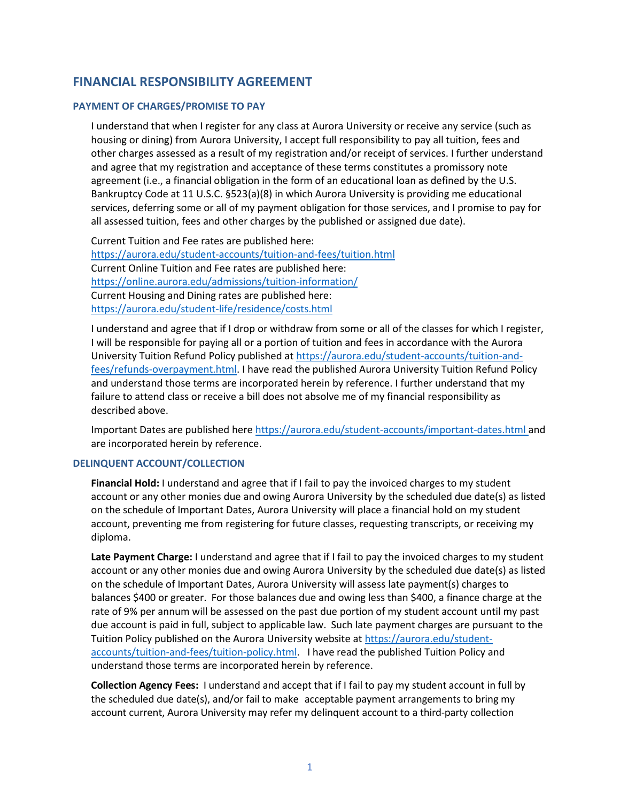# **FINANCIAL RESPONSIBILITY AGREEMENT**

# **PAYMENT OF CHARGES/PROMISE TO PAY**

I understand that when I register for any class at Aurora University or receive any service (such as housing or dining) from Aurora University, I accept full responsibility to pay all tuition, fees and other charges assessed as a result of my registration and/or receipt of services. I further understand and agree that my registration and acceptance of these terms constitutes a promissory note agreement (i.e., a financial obligation in the form of an educational loan as defined by the U.S. Bankruptcy Code at 11 U.S.C. §523(a)(8) in which Aurora University is providing me educational services, deferring some or all of my payment obligation for those services, and I promise to pay for all assessed tuition, fees and other charges by the published or assigned due date).

Current Tuition and Fee rates are published here: <https://aurora.edu/student-accounts/tuition-and-fees/tuition.html> Current Online Tuition and Fee rates are published here: <https://online.aurora.edu/admissions/tuition-information/> Current Housing and Dining rates are published here: <https://aurora.edu/student-life/residence/costs.html>

I understand and agree that if I drop or withdraw from some or all of the classes for which I register, I will be responsible for paying all or a portion of tuition and fees in accordance with the Aurora University Tuition Refund Policy published a[t https://aurora.edu/student-accounts/tuition-and](https://aurora.edu/student-accounts/tuition-and-fees/refunds-overpayment.html)[fees/refunds-overpayment.html.](https://aurora.edu/student-accounts/tuition-and-fees/refunds-overpayment.html) I have read the published Aurora University Tuition Refund Policy and understand those terms are incorporated herein by reference. I further understand that my failure to attend class or receive a bill does not absolve me of my financial responsibility as described above.

Important Dates are published here<https://aurora.edu/student-accounts/important-dates.html> and are incorporated herein by reference.

# **DELINQUENT ACCOUNT/COLLECTION**

**Financial Hold:** I understand and agree that if I fail to pay the invoiced charges to my student account or any other monies due and owing Aurora University by the scheduled due date(s) as listed on the schedule of Important Dates, Aurora University will place a financial hold on my student account, preventing me from registering for future classes, requesting transcripts, or receiving my diploma.

**Late Payment Charge:** I understand and agree that if I fail to pay the invoiced charges to my student account or any other monies due and owing Aurora University by the scheduled due date(s) as listed on the schedule of Important Dates, Aurora University will assess late payment(s) charges to balances \$400 or greater. For those balances due and owing less than \$400, a finance charge at the rate of 9% per annum will be assessed on the past due portion of my student account until my past due account is paid in full, subject to applicable law. Such late payment charges are pursuant to the Tuition Policy published on the Aurora University website at [https://aurora.edu/student](https://aurora.edu/student-accounts/tuition-and-fees/tuition-policy.html)[accounts/tuition-and-fees/tuition-policy.html.](https://aurora.edu/student-accounts/tuition-and-fees/tuition-policy.html) I have read the published Tuition Policy and understand those terms are incorporated herein by reference.

**Collection Agency Fees:** I understand and accept that if I fail to pay my student account in full by the scheduled due date(s), and/or fail to make acceptable payment arrangements to bring my account current, Aurora University may refer my delinquent account to a third-party collection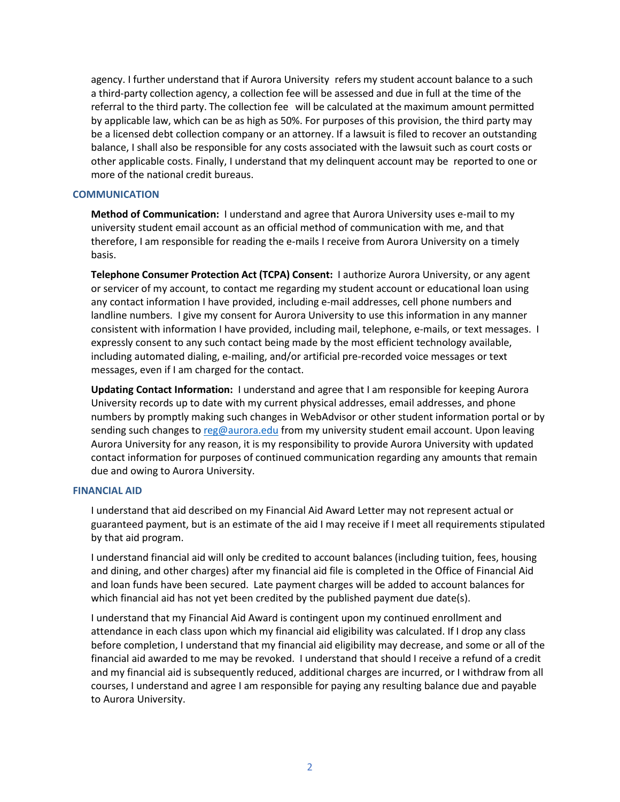agency. I further understand that if Aurora University refers my student account balance to a such a third-party collection agency, a collection fee will be assessed and due in full at the time of the referral to the third party. The collection fee will be calculated at the maximum amount permitted by applicable law, which can be as high as 50%. For purposes of this provision, the third party may be a licensed debt collection company or an attorney. If a lawsuit is filed to recover an outstanding balance, I shall also be responsible for any costs associated with the lawsuit such as court costs or other applicable costs. Finally, I understand that my delinquent account may be reported to one or more of the national credit bureaus.

## **COMMUNICATION**

**Method of Communication:** I understand and agree that Aurora University uses e-mail to my university student email account as an official method of communication with me, and that therefore, I am responsible for reading the e-mails I receive from Aurora University on a timely basis.

**Telephone Consumer Protection Act (TCPA) Consent:** I authorize Aurora University, or any agent or servicer of my account, to contact me regarding my student account or educational loan using any contact information I have provided, including e-mail addresses, cell phone numbers and landline numbers. I give my consent for Aurora University to use this information in any manner consistent with information I have provided, including mail, telephone, e-mails, or text messages. I expressly consent to any such contact being made by the most efficient technology available, including automated dialing, e-mailing, and/or artificial pre-recorded voice messages or text messages, even if I am charged for the contact.

**Updating Contact Information:** I understand and agree that I am responsible for keeping Aurora University records up to date with my current physical addresses, email addresses, and phone numbers by promptly making such changes in WebAdvisor or other student information portal or by sending such changes to [reg@aurora.edu](mailto:reg@aurora.edu) from my university student email account. Upon leaving Aurora University for any reason, it is my responsibility to provide Aurora University with updated contact information for purposes of continued communication regarding any amounts that remain due and owing to Aurora University.

### **FINANCIAL AID**

I understand that aid described on my Financial Aid Award Letter may not represent actual or guaranteed payment, but is an estimate of the aid I may receive if I meet all requirements stipulated by that aid program.

I understand financial aid will only be credited to account balances (including tuition, fees, housing and dining, and other charges) after my financial aid file is completed in the Office of Financial Aid and loan funds have been secured. Late payment charges will be added to account balances for which financial aid has not yet been credited by the published payment due date(s).

I understand that my Financial Aid Award is contingent upon my continued enrollment and attendance in each class upon which my financial aid eligibility was calculated. If I drop any class before completion, I understand that my financial aid eligibility may decrease, and some or all of the financial aid awarded to me may be revoked. I understand that should I receive a refund of a credit and my financial aid is subsequently reduced, additional charges are incurred, or I withdraw from all courses, I understand and agree I am responsible for paying any resulting balance due and payable to Aurora University.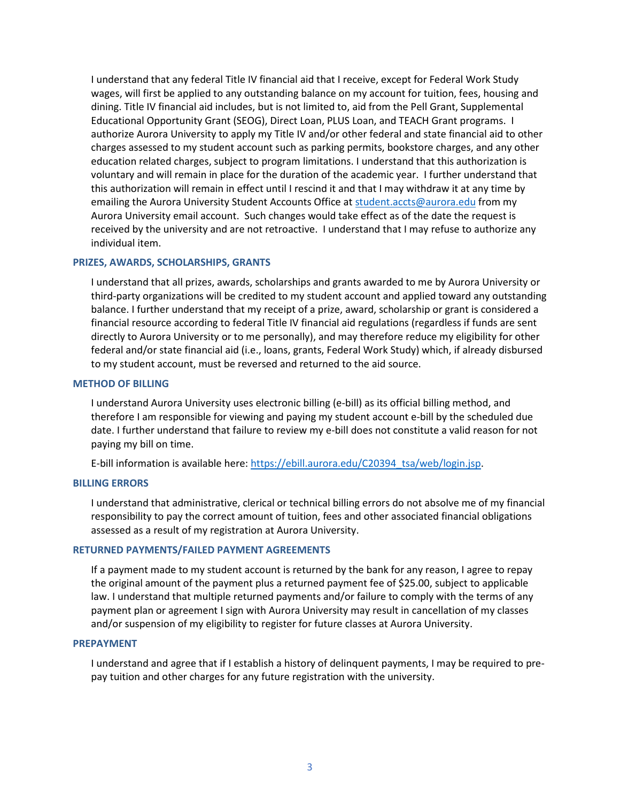I understand that any federal Title IV financial aid that I receive, except for Federal Work Study wages, will first be applied to any outstanding balance on my account for tuition, fees, housing and dining. Title IV financial aid includes, but is not limited to, aid from the Pell Grant, Supplemental Educational Opportunity Grant (SEOG), Direct Loan, PLUS Loan, and TEACH Grant programs. I authorize Aurora University to apply my Title IV and/or other federal and state financial aid to other charges assessed to my student account such as parking permits, bookstore charges, and any other education related charges, subject to program limitations. I understand that this authorization is voluntary and will remain in place for the duration of the academic year. I further understand that this authorization will remain in effect until I rescind it and that I may withdraw it at any time by emailing the Aurora University Student Accounts Office a[t student.accts@aurora.edu](mailto:student.accts@aurora.edu) from my Aurora University email account. Such changes would take effect as of the date the request is received by the university and are not retroactive. I understand that I may refuse to authorize any individual item.

#### **PRIZES, AWARDS, SCHOLARSHIPS, GRANTS**

I understand that all prizes, awards, scholarships and grants awarded to me by Aurora University or third-party organizations will be credited to my student account and applied toward any outstanding balance. I further understand that my receipt of a prize, award, scholarship or grant is considered a financial resource according to federal Title IV financial aid regulations (regardless if funds are sent directly to Aurora University or to me personally), and may therefore reduce my eligibility for other federal and/or state financial aid (i.e., loans, grants, Federal Work Study) which, if already disbursed to my student account, must be reversed and returned to the aid source.

#### **METHOD OF BILLING**

I understand Aurora University uses electronic billing (e-bill) as its official billing method, and therefore I am responsible for viewing and paying my student account e-bill by the scheduled due date. I further understand that failure to review my e-bill does not constitute a valid reason for not paying my bill on time.

E-bill information is available here[: https://ebill.aurora.edu/C20394\\_tsa/web/login.jsp.](https://ebill.aurora.edu/C20394_tsa/web/login.jsp)

#### **BILLING ERRORS**

I understand that administrative, clerical or technical billing errors do not absolve me of my financial responsibility to pay the correct amount of tuition, fees and other associated financial obligations assessed as a result of my registration at Aurora University.

#### **RETURNED PAYMENTS/FAILED PAYMENT AGREEMENTS**

If a payment made to my student account is returned by the bank for any reason, I agree to repay the original amount of the payment plus a returned payment fee of \$25.00, subject to applicable law. I understand that multiple returned payments and/or failure to comply with the terms of any payment plan or agreement I sign with Aurora University may result in cancellation of my classes and/or suspension of my eligibility to register for future classes at Aurora University.

#### **PREPAYMENT**

I understand and agree that if I establish a history of delinquent payments, I may be required to prepay tuition and other charges for any future registration with the university.